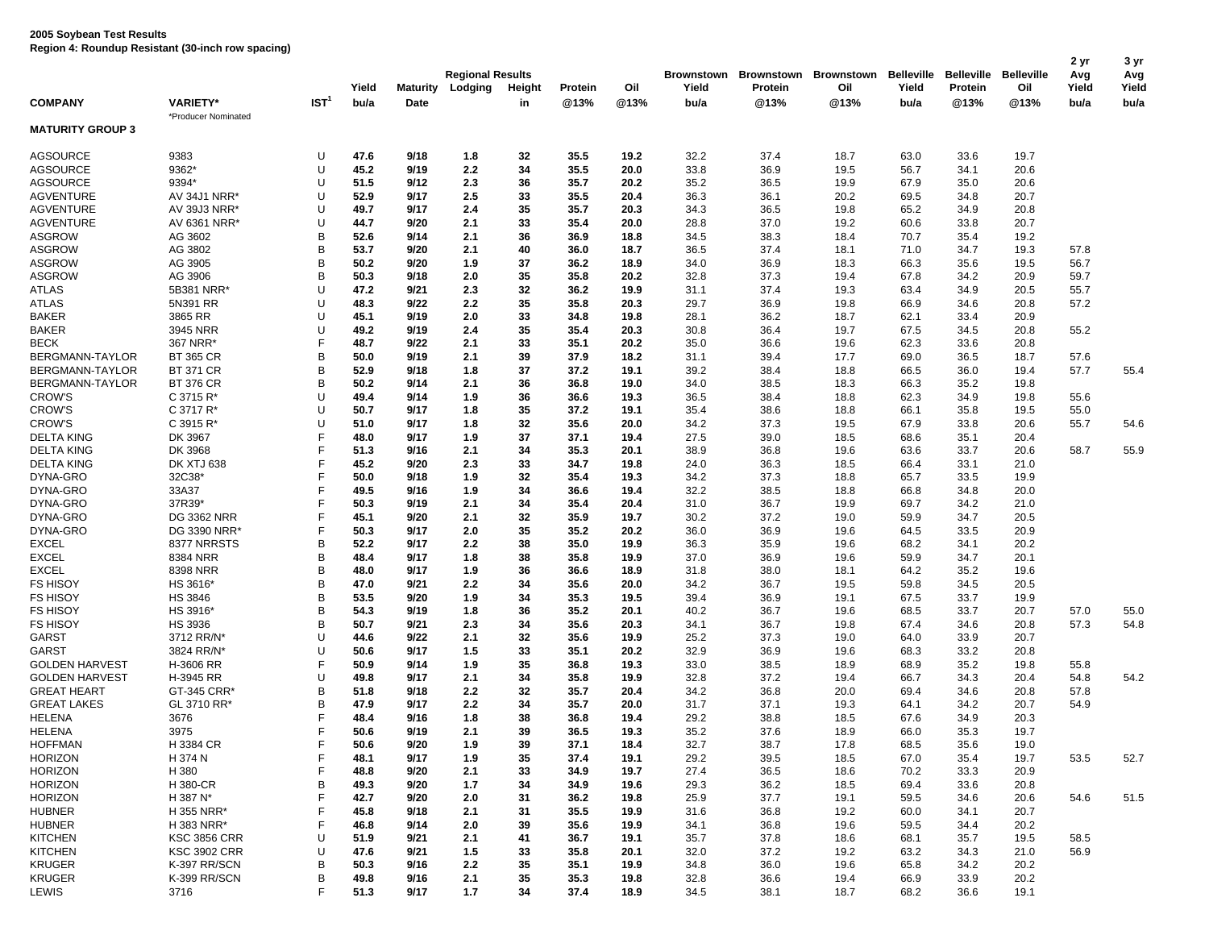|                                |                         |                  | Yield        | <b>Maturity</b> | <b>Regional Results</b><br>Lodging | Height   | Protein      | Oil          | Yield        | Brownstown Brownstown<br>Protein | Brownstown<br>Oil | <b>Belleville</b><br>Yield | <b>Belleville</b><br>Protein | <b>Belleville</b><br>Oil | 2 yr<br>Avg<br>Yield | 3 yr<br>Avg<br>Yield |
|--------------------------------|-------------------------|------------------|--------------|-----------------|------------------------------------|----------|--------------|--------------|--------------|----------------------------------|-------------------|----------------------------|------------------------------|--------------------------|----------------------|----------------------|
| <b>COMPANY</b>                 | <b>VARIETY*</b>         | IST <sup>1</sup> | bu/a         | Date            |                                    | in       | @13%         | @13%         | bu/a         | @13%                             | @13%              | bu/a                       | @13%                         | @13%                     | bu/a                 | bu/a                 |
| <b>MATURITY GROUP 3</b>        | *Producer Nominated     |                  |              |                 |                                    |          |              |              |              |                                  |                   |                            |                              |                          |                      |                      |
| <b>AGSOURCE</b>                | 9383                    | U                | 47.6         | 9/18            | 1.8                                | 32       | 35.5         | 19.2         | 32.2         | 37.4                             | 18.7              | 63.0                       | 33.6                         | 19.7                     |                      |                      |
| <b>AGSOURCE</b>                | 9362*                   | U                | 45.2         | 9/19            | 2.2                                | 34       | 35.5         | 20.0         | 33.8         | 36.9                             | 19.5              | 56.7                       | 34.1                         | 20.6                     |                      |                      |
| <b>AGSOURCE</b>                | 9394*                   | U                | 51.5         | 9/12            | 2.3                                | 36       | 35.7         | 20.2         | 35.2         | 36.5                             | 19.9              | 67.9                       | 35.0                         | 20.6                     |                      |                      |
| <b>AGVENTURE</b>               | AV 34J1 NRR*            | U                | 52.9         | 9/17            | 2.5                                | 33       | 35.5         | 20.4         | 36.3         | 36.1                             | 20.2              | 69.5                       | 34.8                         | 20.7                     |                      |                      |
| <b>AGVENTURE</b>               | AV 39J3 NRR*            | U                | 49.7         | 9/17            | 2.4                                | 35       | 35.7         | 20.3         | 34.3         | 36.5                             | 19.8              | 65.2                       | 34.9                         | 20.8                     |                      |                      |
| <b>AGVENTURE</b>               | AV 6361 NRR*            | U                | 44.7         | 9/20            | 2.1                                | 33       | 35.4         | 20.0         | 28.8         | 37.0                             | 19.2              | 60.6                       | 33.8                         | 20.7                     |                      |                      |
| <b>ASGROW</b>                  | AG 3602                 | B                | 52.6         | 9/14            | 2.1                                | 36       | 36.9         | 18.8         | 34.5         | 38.3                             | 18.4              | 70.7                       | 35.4                         | 19.2                     |                      |                      |
| <b>ASGROW</b>                  | AG 3802                 | B                | 53.7         | 9/20            | 2.1                                | 40       | 36.0         | 18.7         | 36.5         | 37.4                             | 18.1              | 71.0                       | 34.7                         | 19.3                     | 57.8                 |                      |
| <b>ASGROW</b>                  | AG 3905                 | B                | 50.2         | 9/20            | 1.9                                | 37       | 36.2         | 18.9         | 34.0         | 36.9                             | 18.3              | 66.3                       | 35.6                         | 19.5                     | 56.7                 |                      |
| <b>ASGROW</b>                  | AG 3906                 | B<br>U           | 50.3         | 9/18            | 2.0                                | 35       | 35.8         | 20.2         | 32.8         | 37.3                             | 19.4              | 67.8                       | 34.2                         | 20.9                     | 59.7                 |                      |
| ATLAS                          | 5B381 NRR*              |                  | 47.2         | 9/21            | 2.3                                | 32       | 36.2         | 19.9         | 31.1         | 37.4                             | 19.3              | 63.4                       | 34.9                         | 20.5                     | 55.7                 |                      |
| <b>ATLAS</b>                   | 5N391 RR                | U<br>U           | 48.3         | 9/22            | 2.2                                | 35       | 35.8         | 20.3         | 29.7         | 36.9                             | 19.8              | 66.9                       | 34.6                         | 20.8                     | 57.2                 |                      |
| <b>BAKER</b><br><b>BAKER</b>   | 3865 RR<br>3945 NRR     | U                | 45.1<br>49.2 | 9/19<br>9/19    | 2.0<br>2.4                         | 33<br>35 | 34.8<br>35.4 | 19.8<br>20.3 | 28.1<br>30.8 | 36.2<br>36.4                     | 18.7<br>19.7      | 62.1<br>67.5               | 33.4<br>34.5                 | 20.9<br>20.8             | 55.2                 |                      |
| <b>BECK</b>                    | 367 NRR*                | F                | 48.7         | 9/22            | 2.1                                | 33       | 35.1         | 20.2         | 35.0         | 36.6                             | 19.6              | 62.3                       | 33.6                         | 20.8                     |                      |                      |
| BERGMANN-TAYLOR                | <b>BT 365 CR</b>        | B                | 50.0         | 9/19            | 2.1                                | 39       | 37.9         | 18.2         | 31.1         | 39.4                             | 17.7              | 69.0                       | 36.5                         | 18.7                     | 57.6                 |                      |
| BERGMANN-TAYLOR                | <b>BT 371 CR</b>        | B                | 52.9         | 9/18            | 1.8                                | 37       | 37.2         | 19.1         | 39.2         | 38.4                             | 18.8              | 66.5                       | 36.0                         | 19.4                     | 57.7                 | 55.4                 |
| BERGMANN-TAYLOR                | <b>BT 376 CR</b>        | B                | 50.2         | 9/14            | 2.1                                | 36       | 36.8         | 19.0         | 34.0         | 38.5                             | 18.3              | 66.3                       | 35.2                         | 19.8                     |                      |                      |
| <b>CROW'S</b>                  | C 3715 R*               | U                | 49.4         | 9/14            | 1.9                                | 36       | 36.6         | 19.3         | 36.5         | 38.4                             | 18.8              | 62.3                       | 34.9                         | 19.8                     | 55.6                 |                      |
| <b>CROW'S</b>                  | C 3717 R*               | U                | 50.7         | 9/17            | 1.8                                | 35       | 37.2         | 19.1         | 35.4         | 38.6                             | 18.8              | 66.1                       | 35.8                         | 19.5                     | 55.0                 |                      |
| <b>CROW'S</b>                  | $C$ 3915 R <sup>*</sup> | U                | 51.0         | 9/17            | 1.8                                | 32       | 35.6         | 20.0         | 34.2         | 37.3                             | 19.5              | 67.9                       | 33.8                         | 20.6                     | 55.7                 | 54.6                 |
| <b>DELTA KING</b>              | DK 3967                 | F                | 48.0         | 9/17            | 1.9                                | 37       | 37.1         | 19.4         | 27.5         | 39.0                             | 18.5              | 68.6                       | 35.1                         | 20.4                     |                      |                      |
| <b>DELTA KING</b>              | DK 3968                 | F                | 51.3         | 9/16            | 2.1                                | 34       | 35.3         | 20.1         | 38.9         | 36.8                             | 19.6              | 63.6                       | 33.7                         | 20.6                     | 58.7                 | 55.9                 |
| <b>DELTA KING</b>              | <b>DK XTJ 638</b>       | F                | 45.2         | 9/20            | 2.3                                | 33       | 34.7         | 19.8         | 24.0         | 36.3                             | 18.5              | 66.4                       | 33.1                         | 21.0                     |                      |                      |
| DYNA-GRO                       | 32C38*                  | F                | 50.0         | 9/18            | 1.9                                | 32       | 35.4         | 19.3         | 34.2         | 37.3                             | 18.8              | 65.7                       | 33.5                         | 19.9                     |                      |                      |
| DYNA-GRO                       | 33A37                   | F                | 49.5         | 9/16            | 1.9                                | 34       | 36.6         | 19.4         | 32.2         | 38.5                             | 18.8              | 66.8                       | 34.8                         | 20.0                     |                      |                      |
| DYNA-GRO                       | 37R39*                  | F                | 50.3         | 9/19            | 2.1                                | 34       | 35.4         | 20.4         | 31.0         | 36.7                             | 19.9              | 69.7                       | 34.2                         | 21.0                     |                      |                      |
| DYNA-GRO                       | <b>DG 3362 NRR</b>      | F                | 45.1         | 9/20            | 2.1                                | 32       | 35.9         | 19.7         | 30.2         | 37.2                             | 19.0              | 59.9                       | 34.7                         | 20.5                     |                      |                      |
| DYNA-GRO                       | DG 3390 NRR*            | F                | 50.3         | 9/17            | 2.0                                | 35       | 35.2         | 20.2         | 36.0         | 36.9                             | 19.6              | 64.5                       | 33.5                         | 20.9                     |                      |                      |
| <b>EXCEL</b>                   | 8377 NRRSTS             | B                | 52.2         | 9/17            | 2.2                                | 38       | 35.0         | 19.9         | 36.3         | 35.9                             | 19.6              | 68.2                       | 34.1                         | 20.2                     |                      |                      |
| <b>EXCEL</b>                   | 8384 NRR                | B                | 48.4         | 9/17            | 1.8                                | 38       | 35.8         | 19.9         | 37.0         | 36.9                             | 19.6              | 59.9                       | 34.7                         | 20.1                     |                      |                      |
| <b>EXCEL</b>                   | 8398 NRR                | B                | 48.0         | 9/17            | 1.9                                | 36       | 36.6         | 18.9         | 31.8         | 38.0                             | 18.1              | 64.2                       | 35.2                         | 19.6                     |                      |                      |
| <b>FS HISOY</b>                | HS 3616*                | B                | 47.0         | 9/21            | 2.2                                | 34       | 35.6         | 20.0         | 34.2         | 36.7                             | 19.5              | 59.8                       | 34.5                         | 20.5                     |                      |                      |
| <b>FS HISOY</b>                | <b>HS 3846</b>          | B                | 53.5         | 9/20            | 1.9                                | 34       | 35.3         | 19.5         | 39.4         | 36.9                             | 19.1              | 67.5                       | 33.7                         | 19.9                     |                      |                      |
| <b>FS HISOY</b>                | HS 3916*                | B                | 54.3         | 9/19            | 1.8                                | 36       | 35.2         | 20.1         | 40.2         | 36.7                             | 19.6              | 68.5                       | 33.7                         | 20.7                     | 57.0                 | 55.0                 |
| <b>FS HISOY</b>                | <b>HS 3936</b>          | B                | 50.7         | 9/21            | 2.3                                | 34       | 35.6         | 20.3         | 34.1         | 36.7                             | 19.8              | 67.4                       | 34.6                         | 20.8                     | 57.3                 | 54.8                 |
| GARST                          | 3712 RR/N*              | U<br>U           | 44.6<br>50.6 | 9/22<br>9/17    | 2.1                                | 32<br>33 | 35.6         | 19.9         | 25.2         | 37.3<br>36.9                     | 19.0              | 64.0                       | 33.9                         | 20.7                     |                      |                      |
| GARST<br><b>GOLDEN HARVEST</b> | 3824 RR/N*<br>H-3606 RR | F                | 50.9         | 9/14            | 1.5<br>1.9                         | 35       | 35.1<br>36.8 | 20.2<br>19.3 | 32.9<br>33.0 | 38.5                             | 19.6<br>18.9      | 68.3<br>68.9               | 33.2<br>35.2                 | 20.8<br>19.8             | 55.8                 |                      |
| <b>GOLDEN HARVEST</b>          | H-3945 RR               | U                | 49.8         | 9/17            | 2.1                                | 34       | 35.8         | 19.9         | 32.8         | 37.2                             | 19.4              | 66.7                       | 34.3                         | 20.4                     | 54.8                 | 54.2                 |
| <b>GREAT HEART</b>             | GT-345 CRR*             | B                | 51.8         | 9/18            | 2.2                                | 32       | 35.7         | 20.4         | 34.2         | 36.8                             | 20.0              | 69.4                       | 34.6                         | 20.8                     | 57.8                 |                      |
| <b>GREAT LAKES</b>             | GL 3710 RR*             | B                | 47.9         | 9/17            | 2.2                                | 34       | 35.7         | 20.0         | 31.7         | 37.1                             | 19.3              | 64.1                       | 34.2                         | 20.7                     | 54.9                 |                      |
| <b>HELENA</b>                  | 3676                    | F                | 48.4         | 9/16            | 1.8                                | 38       | 36.8         | 19.4         | 29.2         | 38.8                             | 18.5              | 67.6                       | 34.9                         | 20.3                     |                      |                      |
| <b>HELENA</b>                  | 3975                    | F                | 50.6         | 9/19            | 2.1                                | 39       | 36.5         | 19.3         | 35.2         | 37.6                             | 18.9              | 66.0                       | 35.3                         | 19.7                     |                      |                      |
| <b>HOFFMAN</b>                 | H 3384 CR               | E                | 50.6         | 9/20            | 1.9                                | 39       | 37.1         | 18.4         | 32.7         | 38.7                             | 17.8              | 68.5                       | 35.6                         | 19.0                     |                      |                      |
| <b>HORIZON</b>                 | H 374 N                 | F                | 48.1         | 9/17            | 1.9                                | 35       | 37.4         | 19.1         | 29.2         | 39.5                             | 18.5              | 67.0                       | 35.4                         | 19.7                     | 53.5                 | 52.7                 |
| <b>HORIZON</b>                 | H 380                   | F                | 48.8         | 9/20            | 2.1                                | 33       | 34.9         | 19.7         | 27.4         | 36.5                             | 18.6              | 70.2                       | 33.3                         | 20.9                     |                      |                      |
| <b>HORIZON</b>                 | H 380-CR                | B                | 49.3         | 9/20            | 1.7                                | 34       | 34.9         | 19.6         | 29.3         | 36.2                             | 18.5              | 69.4                       | 33.6                         | 20.8                     |                      |                      |
| <b>HORIZON</b>                 | H 387 N*                | F                | 42.7         | 9/20            | 2.0                                | 31       | 36.2         | 19.8         | 25.9         | 37.7                             | 19.1              | 59.5                       | 34.6                         | 20.6                     | 54.6                 | 51.5                 |
| <b>HUBNER</b>                  | H 355 NRR*              | F                | 45.8         | 9/18            | 2.1                                | 31       | 35.5         | 19.9         | 31.6         | 36.8                             | 19.2              | 60.0                       | 34.1                         | 20.7                     |                      |                      |
| <b>HUBNER</b>                  | H 383 NRR*              | F                | 46.8         | 9/14            | 2.0                                | 39       | 35.6         | 19.9         | 34.1         | 36.8                             | 19.6              | 59.5                       | 34.4                         | 20.2                     |                      |                      |
| <b>KITCHEN</b>                 | <b>KSC 3856 CRR</b>     | U                | 51.9         | 9/21            | 2.1                                | 41       | 36.7         | 19.1         | 35.7         | 37.8                             | 18.6              | 68.1                       | 35.7                         | 19.5                     | 58.5                 |                      |
| <b>KITCHEN</b>                 | <b>KSC 3902 CRR</b>     | U                | 47.6         | 9/21            | 1.5                                | 33       | 35.8         | 20.1         | 32.0         | 37.2                             | 19.2              | 63.2                       | 34.3                         | 21.0                     | 56.9                 |                      |
| <b>KRUGER</b>                  | K-397 RR/SCN            | B                | 50.3         | 9/16            | 2.2                                | 35       | 35.1         | 19.9         | 34.8         | 36.0                             | 19.6              | 65.8                       | 34.2                         | 20.2                     |                      |                      |
| <b>KRUGER</b>                  | K-399 RR/SCN            | В                | 49.8         | 9/16            | 2.1                                | 35       | 35.3         | 19.8         | 32.8         | 36.6                             | 19.4              | 66.9                       | 33.9                         | 20.2                     |                      |                      |
| LEWIS                          | 3716                    | F                | 51.3         | 9/17            | 1.7                                | 34       | 37.4         | 18.9         | 34.5         | 38.1                             | 18.7              | 68.2                       | 36.6                         | 19.1                     |                      |                      |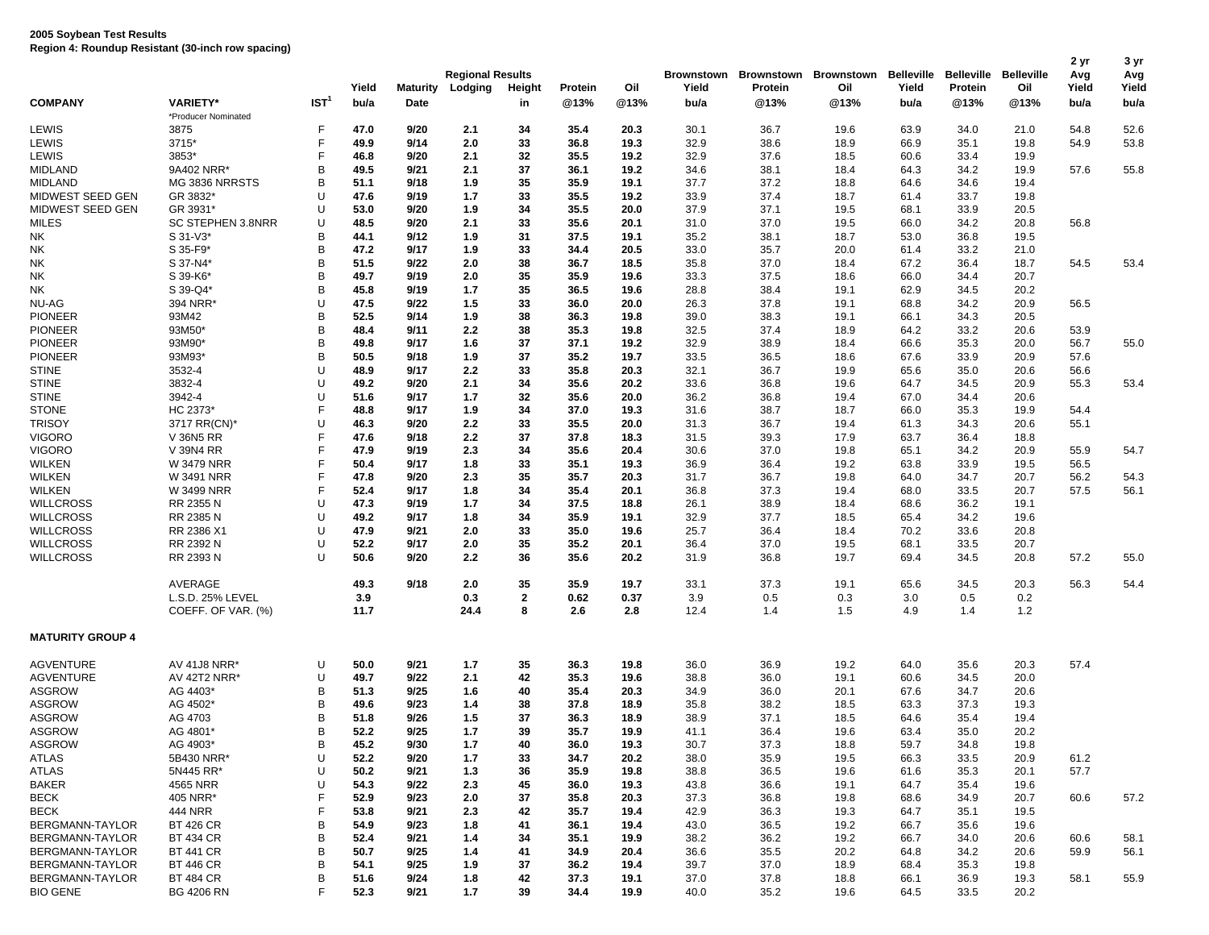|                         |                                      |                  | Yield        | <b>Maturity</b> | <b>Regional Results</b><br>Lodging | Height       | Protein      | Oil          | Yield        | Brownstown Brownstown Brownstown<br>Protein | Oil          | Belleville<br>Yield | Belleville<br>Protein | <b>Belleville</b><br>Oil | 2 yr<br>Avg<br>Yield | 3 yr<br>Avg<br>Yield |
|-------------------------|--------------------------------------|------------------|--------------|-----------------|------------------------------------|--------------|--------------|--------------|--------------|---------------------------------------------|--------------|---------------------|-----------------------|--------------------------|----------------------|----------------------|
| <b>COMPANY</b>          | <b>VARIETY*</b>                      | IST <sup>1</sup> | bu/a         | Date            |                                    | in           | @13%         | @13%         | bu/a         | @13%                                        | @13%         | bu/a                | @13%                  | @13%                     | bu/a                 | bu/a                 |
|                         | *Producer Nominated                  |                  |              |                 |                                    |              |              |              |              |                                             |              |                     |                       |                          |                      |                      |
| LEWIS                   | 3875                                 | F                | 47.0         | 9/20            | 2.1                                | 34           | 35.4         | 20.3         | 30.1         | 36.7                                        | 19.6         | 63.9                | 34.0                  | 21.0                     | 54.8                 | 52.6                 |
| LEWIS                   | 3715*                                | F                | 49.9         | 9/14            | 2.0                                | 33           | 36.8         | 19.3         | 32.9         | 38.6                                        | 18.9         | 66.9                | 35.1                  | 19.8                     | 54.9                 | 53.8                 |
| LEWIS                   | 3853*                                | F                | 46.8         | 9/20            | 2.1                                | 32           | 35.5         | 19.2         | 32.9         | 37.6                                        | 18.5         | 60.6                | 33.4                  | 19.9                     |                      |                      |
| MIDLAND                 | 9A402 NRR*                           | B                | 49.5         | 9/21            | 2.1                                | 37           | 36.1         | 19.2         | 34.6         | 38.1                                        | 18.4         | 64.3                | 34.2                  | 19.9                     | 57.6                 | 55.8                 |
| <b>MIDLAND</b>          | MG 3836 NRRSTS                       | B                | 51.1         | 9/18            | 1.9                                | 35           | 35.9         | 19.1         | 37.7         | 37.2                                        | 18.8         | 64.6                | 34.6                  | 19.4                     |                      |                      |
| MIDWEST SEED GEN        | GR 3832*                             | U                | 47.6         | 9/19            | 1.7                                | 33           | 35.5         | 19.2         | 33.9         | 37.4                                        | 18.7         | 61.4                | 33.7                  | 19.8                     |                      |                      |
| MIDWEST SEED GEN        | GR 3931*<br><b>SC STEPHEN 3.8NRR</b> | U                | 53.0         | 9/20            | 1.9                                | 34           | 35.5         | 20.0         | 37.9         | 37.1                                        | 19.5         | 68.1                | 33.9                  | 20.5                     |                      |                      |
| MILES                   |                                      | U<br>B           | 48.5<br>44.1 | 9/20<br>9/12    | 2.1                                | 33<br>31     | 35.6         | 20.1         | 31.0         | 37.0                                        | 19.5         | 66.0                | 34.2                  | 20.8                     | 56.8                 |                      |
| NΚ<br>NK                | S 31-V3*<br>S 35-F9*                 | B                | 47.2         | 9/17            | 1.9<br>1.9                         | 33           | 37.5<br>34.4 | 19.1<br>20.5 | 35.2         | 38.1<br>35.7                                | 18.7         | 53.0<br>61.4        | 36.8<br>33.2          | 19.5<br>21.0             |                      |                      |
|                         |                                      | B                | 51.5         | 9/22            |                                    | 38           |              |              | 33.0         | 37.0                                        | 20.0         |                     |                       |                          | 54.5                 |                      |
| NK                      | S 37-N4*                             | B                | 49.7         | 9/19            | 2.0<br>2.0                         | 35           | 36.7<br>35.9 | 18.5<br>19.6 | 35.8         | 37.5                                        | 18.4         | 67.2<br>66.0        | 36.4<br>34.4          | 18.7<br>20.7             |                      | 53.4                 |
| NΚ                      | S 39-K6*<br>S 39-Q4*                 | B                | 45.8         | 9/19            | 1.7                                | 35           | 36.5         | 19.6         | 33.3<br>28.8 | 38.4                                        | 18.6<br>19.1 | 62.9                | 34.5                  | 20.2                     |                      |                      |
| NΚ<br>NU-AG             | 394 NRR*                             | U                | 47.5         | 9/22            | 1.5                                | 33           | 36.0         | 20.0         | 26.3         | 37.8                                        | 19.1         | 68.8                | 34.2                  | 20.9                     | 56.5                 |                      |
| <b>PIONEER</b>          | 93M42                                | B                | 52.5         | 9/14            | 1.9                                | 38           | 36.3         | 19.8         | 39.0         | 38.3                                        | 19.1         | 66.1                | 34.3                  | 20.5                     |                      |                      |
| <b>PIONEER</b>          | 93M50*                               | B                | 48.4         | 9/11            | 2.2                                | 38           | 35.3         | 19.8         | 32.5         | 37.4                                        | 18.9         | 64.2                | 33.2                  | 20.6                     | 53.9                 |                      |
| <b>PIONEER</b>          | 93M90*                               | B                | 49.8         | 9/17            | 1.6                                | 37           | 37.1         | 19.2         | 32.9         | 38.9                                        | 18.4         | 66.6                | 35.3                  | 20.0                     | 56.7                 | 55.0                 |
| <b>PIONEER</b>          | 93M93*                               | B                | 50.5         | 9/18            | 1.9                                | 37           | 35.2         | 19.7         | 33.5         | 36.5                                        | 18.6         | 67.6                | 33.9                  | 20.9                     | 57.6                 |                      |
| <b>STINE</b>            | 3532-4                               | U                | 48.9         | 9/17            | 2.2                                | 33           | 35.8         | 20.3         | 32.1         | 36.7                                        | 19.9         | 65.6                | 35.0                  | 20.6                     | 56.6                 |                      |
| <b>STINE</b>            | 3832-4                               | U                | 49.2         | 9/20            | 2.1                                | 34           | 35.6         | 20.2         | 33.6         | 36.8                                        | 19.6         | 64.7                | 34.5                  | 20.9                     | 55.3                 | 53.4                 |
| <b>STINE</b>            | 3942-4                               | U                | 51.6         | 9/17            | 1.7                                | 32           | 35.6         | 20.0         | 36.2         | 36.8                                        | 19.4         | 67.0                | 34.4                  | 20.6                     |                      |                      |
| <b>STONE</b>            | HC 2373*                             | F                | 48.8         | 9/17            | 1.9                                | 34           | 37.0         | 19.3         | 31.6         | 38.7                                        | 18.7         | 66.0                | 35.3                  | 19.9                     | 54.4                 |                      |
| <b>TRISOY</b>           | 3717 RR(CN)*                         | U                | 46.3         | 9/20            | 2.2                                | 33           | 35.5         | 20.0         | 31.3         | 36.7                                        | 19.4         | 61.3                | 34.3                  | 20.6                     | 55.1                 |                      |
| <b>VIGORO</b>           | V 36N5 RR                            | F                | 47.6         | 9/18            | 2.2                                | 37           | 37.8         | 18.3         | 31.5         | 39.3                                        | 17.9         | 63.7                | 36.4                  | 18.8                     |                      |                      |
| <b>VIGORO</b>           | V 39N4 RR                            | F                | 47.9         | 9/19            | 2.3                                | 34           | 35.6         | 20.4         | 30.6         | 37.0                                        | 19.8         | 65.1                | 34.2                  | 20.9                     | 55.9                 | 54.7                 |
| <b>WILKEN</b>           | <b>W 3479 NRR</b>                    | F                | 50.4         | 9/17            | 1.8                                | 33           | 35.1         | 19.3         | 36.9         | 36.4                                        | 19.2         | 63.8                | 33.9                  | 19.5                     | 56.5                 |                      |
| <b>WILKEN</b>           | <b>W 3491 NRR</b>                    | F                | 47.8         | 9/20            | 2.3                                | 35           | 35.7         | 20.3         | 31.7         | 36.7                                        | 19.8         | 64.0                | 34.7                  | 20.7                     | 56.2                 | 54.3                 |
| <b>WILKEN</b>           | W 3499 NRR                           | F                | 52.4         | 9/17            | 1.8                                | 34           | 35.4         | 20.1         | 36.8         | 37.3                                        | 19.4         | 68.0                | 33.5                  | 20.7                     | 57.5                 | 56.1                 |
| <b>WILLCROSS</b>        | RR 2355 N                            | U                | 47.3         | 9/19            | 1.7                                | 34           | 37.5         | 18.8         | 26.1         | 38.9                                        | 18.4         | 68.6                | 36.2                  | 19.1                     |                      |                      |
| <b>WILLCROSS</b>        | RR 2385 N                            | U                | 49.2         | 9/17            | 1.8                                | 34           | 35.9         | 19.1         | 32.9         | 37.7                                        | 18.5         | 65.4                | 34.2                  | 19.6                     |                      |                      |
| <b>WILLCROSS</b>        | RR 2386 X1                           | U                | 47.9         | 9/21            | 2.0                                | 33           | 35.0         | 19.6         | 25.7         | 36.4                                        | 18.4         | 70.2                | 33.6                  | 20.8                     |                      |                      |
| <b>WILLCROSS</b>        | RR 2392 N                            | U                | 52.2         | 9/17            | 2.0                                | 35           | 35.2         | 20.1         | 36.4         | 37.0                                        | 19.5         | 68.1                | 33.5                  | 20.7                     |                      |                      |
| <b>WILLCROSS</b>        | RR 2393 N                            | Ū                | 50.6         | 9/20            | 2.2                                | 36           | 35.6         | 20.2         | 31.9         | 36.8                                        | 19.7         | 69.4                | 34.5                  | 20.8                     | 57.2                 | 55.0                 |
|                         | AVERAGE                              |                  | 49.3         | 9/18            | 2.0                                | 35           | 35.9         | 19.7         | 33.1         | 37.3                                        | 19.1         | 65.6                | 34.5                  | 20.3                     | 56.3                 | 54.4                 |
|                         | L.S.D. 25% LEVEL                     |                  | 3.9          |                 | 0.3                                | $\mathbf{2}$ | 0.62         | 0.37         | 3.9          | 0.5                                         | 0.3          | 3.0                 | 0.5                   | 0.2                      |                      |                      |
|                         | COEFF. OF VAR. (%)                   |                  | 11.7         |                 | 24.4                               | 8            | 2.6          | 2.8          | 12.4         | 1.4                                         | 1.5          | 4.9                 | 1.4                   | 1.2                      |                      |                      |
| <b>MATURITY GROUP 4</b> |                                      |                  |              |                 |                                    |              |              |              |              |                                             |              |                     |                       |                          |                      |                      |
| <b>AGVENTURE</b>        | AV 41J8 NRR*                         | U                | 50.0         | 9/21            | 1.7                                | 35           | 36.3         | 19.8         | 36.0         | 36.9                                        | 19.2         | 64.0                | 35.6                  | 20.3                     | 57.4                 |                      |
| <b>AGVENTURE</b>        | <b>AV 42T2 NRR*</b>                  | U                | 49.7         | 9/22            | 2.1                                | 42           | 35.3         | 19.6         | 38.8         | 36.0                                        | 19.1         | 60.6                | 34.5                  | 20.0                     |                      |                      |
| <b>ASGROW</b>           | AG 4403*                             | В                | 51.3         | 9/25            | 1.6                                | 40           | 35.4         | 20.3         | 34.9         | 36.0                                        | 20.1         | 67.6                | 34.7                  | 20.6                     |                      |                      |
| <b>ASGROW</b>           | AG 4502*                             | B                | 49.6         | 9/23            | 1.4                                | 38           | 37.8         | 18.9         | 35.8         | 38.2                                        | 18.5         | 63.3                | 37.3                  | 19.3                     |                      |                      |
| <b>ASGROW</b>           | AG 4703                              | B                | 51.8         | 9/26            | 1.5                                | 37           | 36.3         | 18.9         | 38.9         | 37.1                                        | 18.5         | 64.6                | 35.4                  | 19.4                     |                      |                      |
| <b>ASGROW</b>           | AG 4801'                             | B                | 52.2         | 9/25            | 1.7                                | 39           | 35.7         | 19.9         | 41.1         | 36.4                                        | 19.6         | 63.4                | 35.0                  | 20.2                     |                      |                      |
| ASGROW                  | AG 4903*                             | в                | 45.2         | 9/30            | 1.7                                | 40           | 36.0         | 19.3         | 30.7         | 37.3                                        | 18.8         | 59.7                | 34.8                  | 19.8                     |                      |                      |
| <b>ATLAS</b>            | 5B430 NRR*                           | U                | 52.2         | 9/20            | 1.7                                | 33           | 34.7         | 20.2         | 38.0         | 35.9                                        | 19.5         | 66.3                | 33.5                  | 20.9                     | 61.2                 |                      |
| <b>ATLAS</b>            | 5N445 RR*                            | U                | 50.2         | 9/21            | 1.3                                | 36           | 35.9         | 19.8         | 38.8         | 36.5                                        | 19.6         | 61.6                | 35.3                  | 20.1                     | 57.7                 |                      |
| <b>BAKER</b>            | 4565 NRR                             | Ù                | 54.3         | 9/22            | 2.3                                | 45           | 36.0         | 19.3         | 43.8         | 36.6                                        | 19.1         | 64.7                | 35.4                  | 19.6                     |                      |                      |
| BECK                    | 405 NRR*                             | F                | 52.9         | 9/23            | 2.0                                | 37           | 35.8         | 20.3         | 37.3         | 36.8                                        | 19.8         | 68.6                | 34.9                  | 20.7                     | 60.6                 | 57.2                 |
| <b>BECK</b>             | <b>444 NRR</b>                       |                  | 53.8         | 9/21            | 2.3                                | 42           | 35.7         | 19.4         | 42.9         | 36.3                                        | 19.3         | 64.7                | 35.1                  | 19.5                     |                      |                      |
| <b>BERGMANN-TAYLOR</b>  | <b>BT 426 CR</b>                     | B                | 54.9         | 9/23            | 1.8                                | 41           | 36.1         | 19.4         | 43.0         | 36.5                                        | 19.2         | 66.7                | 35.6                  | 19.6                     |                      |                      |
| <b>BERGMANN-TAYLOR</b>  | <b>BT 434 CR</b>                     | B                | 52.4         | 9/21            | 1.4                                | 34           | 35.1         | 19.9         | 38.2         | 36.2                                        | 19.2         | 66.7                | 34.0                  | 20.6                     | 60.6                 | 58.1                 |
| BERGMANN-TAYLOR         | <b>BT 441 CR</b>                     | B                | 50.7         | 9/25            | 1.4                                | 41           | 34.9         | 20.4         | 36.6         | 35.5                                        | 20.2         | 64.8                | 34.2                  | 20.6                     | 59.9                 | 56.1                 |
| BERGMANN-TAYLOR         | <b>BT 446 CR</b>                     | B                | 54.1         | 9/25            | 1.9                                | 37           | 36.2         | 19.4         | 39.7         | 37.0                                        | 18.9         | 68.4                | 35.3                  | 19.8                     |                      |                      |
| BERGMANN-TAYLOR         | <b>BT 484 CR</b>                     | B                | 51.6         | 9/24            | 1.8                                | 42           | 37.3         | 19.1         | 37.0         | 37.8                                        | 18.8         | 66.1                | 36.9                  | 19.3                     | 58.1                 | 55.9                 |
| <b>BIO GENE</b>         | <b>BG 4206 RN</b>                    | F                | 52.3         | 9/21            | 1.7                                | 39           | 34.4         | 19.9         | 40.0         | 35.2                                        | 19.6         | 64.5                | 33.5                  | 20.2                     |                      |                      |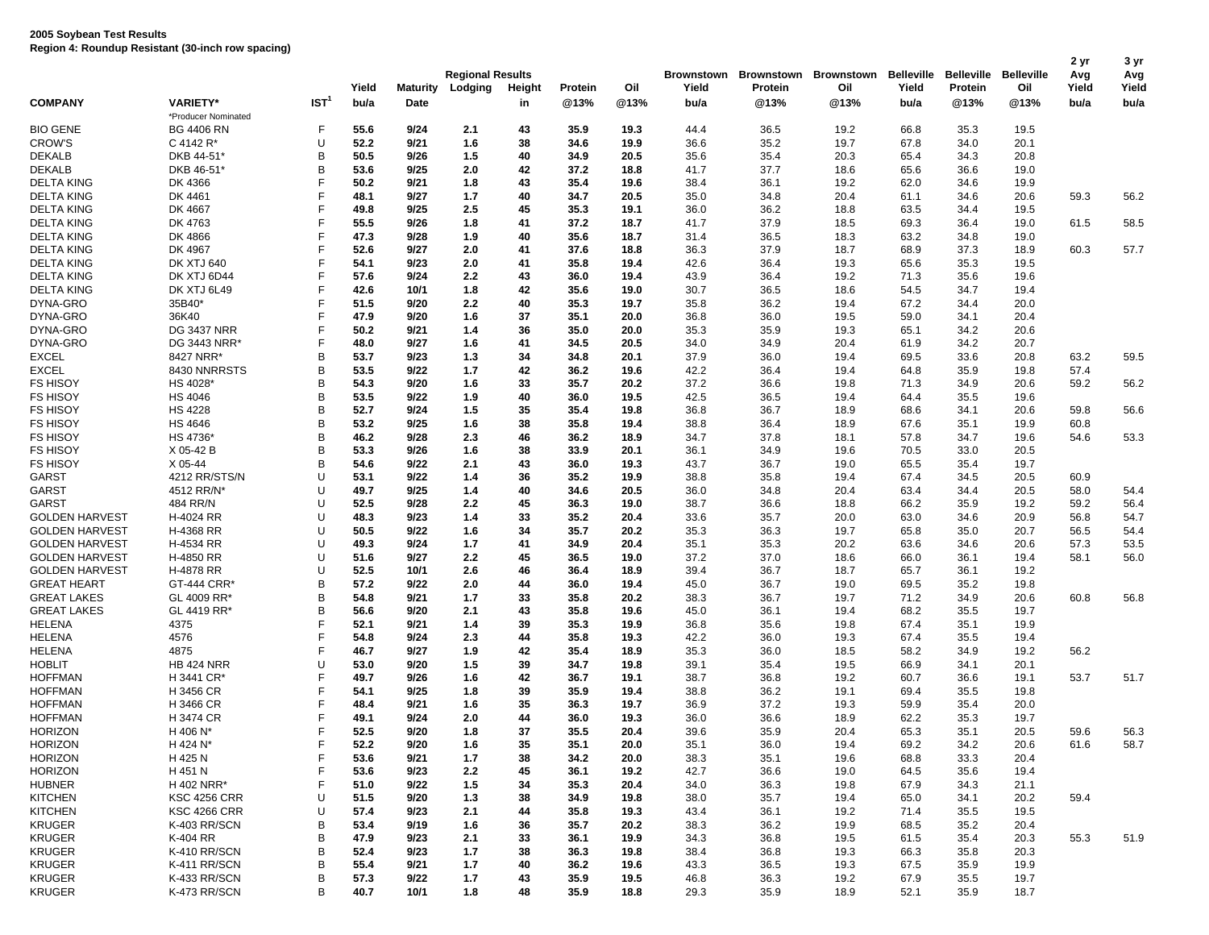|                       |                     |                  |       | <b>Regional Results</b> |         |        |         |      |       | Brownstown Brownstown | <b>Brownstown</b> | <b>Belleville</b> | <b>Belleville</b> | <b>Belleville</b> | 2 yr<br>Avg | 3 yr<br>Avg |
|-----------------------|---------------------|------------------|-------|-------------------------|---------|--------|---------|------|-------|-----------------------|-------------------|-------------------|-------------------|-------------------|-------------|-------------|
|                       |                     |                  | Yield | Maturity                | Lodging | Height | Protein | Oil  | Yield | Protein               | Oil               | Yield             | Protein           | Oil               | Yield       | Yield       |
| <b>COMPANY</b>        | <b>VARIETY*</b>     | IST <sup>1</sup> | bu/a  | <b>Date</b>             |         | in     | @13%    | @13% | bu/a  | @13%                  | @13%              | bu/a              | @13%              | @13%              | bu/a        | bu/a        |
|                       | *Producer Nominated |                  |       |                         |         |        |         |      |       |                       |                   |                   |                   |                   |             |             |
| <b>BIO GENE</b>       | <b>BG 4406 RN</b>   | F                | 55.6  | 9/24                    | 2.1     | 43     | 35.9    | 19.3 | 44.4  | 36.5                  | 19.2              | 66.8              | 35.3              | 19.5              |             |             |
| <b>CROW'S</b>         | C 4142 R*           | U                | 52.2  | 9/21                    | 1.6     | 38     | 34.6    | 19.9 | 36.6  | 35.2                  | 19.7              | 67.8              | 34.0              | 20.1              |             |             |
| <b>DEKALB</b>         | DKB 44-51           | B                | 50.5  | 9/26                    | 1.5     | 40     | 34.9    | 20.5 | 35.6  | 35.4                  | 20.3              | 65.4              | 34.3              | 20.8              |             |             |
| <b>DEKALB</b>         | DKB 46-51'          | B                | 53.6  | 9/25                    | 2.0     | 42     | 37.2    | 18.8 | 41.7  | 37.7                  | 18.6              | 65.6              | 36.6              | 19.0              |             |             |
| <b>DELTA KING</b>     | DK 4366             | F                | 50.2  | 9/21                    | 1.8     | 43     | 35.4    | 19.6 | 38.4  | 36.1                  | 19.2              | 62.0              | 34.6              | 19.9              |             |             |
| <b>DELTA KING</b>     | DK 4461             | F                | 48.1  | 9/27                    | 1.7     | 40     | 34.7    | 20.5 | 35.0  | 34.8                  | 20.4              | 61.1              | 34.6              | 20.6              | 59.3        | 56.2        |
| <b>DELTA KING</b>     | DK 4667             | F                | 49.8  | 9/25                    | 2.5     | 45     | 35.3    | 19.1 | 36.0  | 36.2                  | 18.8              | 63.5              | 34.4              | 19.5              |             |             |
| <b>DELTA KING</b>     | DK 4763             | F                | 55.5  | 9/26                    | 1.8     | 41     | 37.2    | 18.7 | 41.7  | 37.9                  | 18.5              | 69.3              | 36.4              | 19.0              | 61.5        | 58.5        |
| <b>DELTA KING</b>     | DK 4866             | F                | 47.3  | 9/28                    | 1.9     | 40     | 35.6    | 18.7 | 31.4  | 36.5                  | 18.3              | 63.2              | 34.8              | 19.0              |             |             |
| <b>DELTA KING</b>     | DK 4967             | F                | 52.6  | 9/27                    | 2.0     | 41     | 37.6    | 18.8 | 36.3  | 37.9                  | 18.7              | 68.9              | 37.3              | 18.9              | 60.3        | 57.7        |
| <b>DELTA KING</b>     | <b>DK XTJ 640</b>   | F                | 54.1  | 9/23                    | 2.0     | 41     | 35.8    | 19.4 | 42.6  | 36.4                  | 19.3              | 65.6              | 35.3              | 19.5              |             |             |
| <b>DELTA KING</b>     | DK XTJ 6D44         | F                | 57.6  | 9/24                    | 2.2     | 43     | 36.0    | 19.4 | 43.9  | 36.4                  | 19.2              | 71.3              | 35.6              | 19.6              |             |             |
| <b>DELTA KING</b>     | DK XTJ 6L49         | F                | 42.6  | 10/1                    | 1.8     | 42     | 35.6    | 19.0 | 30.7  | 36.5                  | 18.6              | 54.5              | 34.7              | 19.4              |             |             |
| DYNA-GRO              | 35B40*              | F                | 51.5  | 9/20                    | 2.2     | 40     | 35.3    | 19.7 | 35.8  | 36.2                  | 19.4              | 67.2              | 34.4              | 20.0              |             |             |
| DYNA-GRO              | 36K40               | F                | 47.9  | 9/20                    | 1.6     | 37     | 35.1    | 20.0 | 36.8  | 36.0                  | 19.5              | 59.0              | 34.1              | 20.4              |             |             |
| DYNA-GRO              | <b>DG 3437 NRR</b>  | F                | 50.2  | 9/21                    | 1.4     | 36     | 35.0    | 20.0 | 35.3  | 35.9                  | 19.3              | 65.1              | 34.2              | 20.6              |             |             |
| DYNA-GRO              | DG 3443 NRR*        | F                | 48.0  | 9/27                    | 1.6     | 41     | 34.5    | 20.5 | 34.0  | 34.9                  | 20.4              | 61.9              | 34.2              | 20.7              |             |             |
| <b>EXCEL</b>          | 8427 NRR*           | B                | 53.7  | 9/23                    | 1.3     | 34     | 34.8    | 20.1 | 37.9  | 36.0                  | 19.4              | 69.5              | 33.6              | 20.8              | 63.2        | 59.5        |
| <b>EXCEL</b>          | 8430 NNRRSTS        | B                | 53.5  | 9/22                    | 1.7     | 42     | 36.2    | 19.6 | 42.2  | 36.4                  | 19.4              | 64.8              | 35.9              | 19.8              | 57.4        |             |
| <b>FS HISOY</b>       | HS 4028*            | B                | 54.3  | 9/20                    | 1.6     | 33     | 35.7    | 20.2 | 37.2  | 36.6                  | 19.8              | 71.3              | 34.9              | 20.6              | 59.2        | 56.2        |
| <b>FS HISOY</b>       | HS 4046             | B                | 53.5  | 9/22                    | 1.9     | 40     | 36.0    | 19.5 | 42.5  | 36.5                  | 19.4              | 64.4              | 35.5              | 19.6              |             |             |
| <b>FS HISOY</b>       | <b>HS 4228</b>      | B                | 52.7  | 9/24                    | 1.5     | 35     | 35.4    | 19.8 | 36.8  | 36.7                  | 18.9              | 68.6              | 34.1              | 20.6              | 59.8        | 56.6        |
| <b>FS HISOY</b>       | <b>HS 4646</b>      | B                | 53.2  | 9/25                    | 1.6     | 38     | 35.8    | 19.4 | 38.8  | 36.4                  | 18.9              | 67.6              | 35.1              | 19.9              | 60.8        |             |
| <b>FS HISOY</b>       | HS 4736*            | В                | 46.2  | 9/28                    | 2.3     | 46     | 36.2    | 18.9 | 34.7  | 37.8                  | 18.1              | 57.8              | 34.7              | 19.6              | 54.6        | 53.3        |
| <b>FS HISOY</b>       | X 05-42 B           | B                | 53.3  | 9/26                    | 1.6     | 38     | 33.9    | 20.1 | 36.1  | 34.9                  | 19.6              | 70.5              | 33.0              | 20.5              |             |             |
| <b>FS HISOY</b>       | X 05-44             | в                | 54.6  | 9/22                    | 2.1     | 43     | 36.0    | 19.3 | 43.7  | 36.7                  | 19.0              | 65.5              | 35.4              | 19.7              |             |             |
| GARST                 | 4212 RR/STS/N       | U                | 53.1  | 9/22                    | 1.4     | 36     | 35.2    | 19.9 | 38.8  | 35.8                  | 19.4              | 67.4              | 34.5              | 20.5              | 60.9        |             |
| GARST                 | 4512 RR/N'          | U                | 49.7  | 9/25                    | 1.4     | 40     | 34.6    | 20.5 | 36.0  | 34.8                  | 20.4              | 63.4              | 34.4              | 20.5              | 58.0        | 54.4        |
| <b>GARST</b>          | 484 RR/N            | U                | 52.5  | 9/28                    | 2.2     | 45     | 36.3    | 19.0 | 38.7  | 36.6                  | 18.8              | 66.2              | 35.9              | 19.2              | 59.2        | 56.4        |
| <b>GOLDEN HARVEST</b> | H-4024 RR           | U                | 48.3  | 9/23                    | 1.4     | 33     | 35.2    | 20.4 | 33.6  | 35.7                  | 20.0              | 63.0              | 34.6              | 20.9              | 56.8        | 54.7        |
| <b>GOLDEN HARVEST</b> | H-4368 RR           | U                | 50.5  | 9/22                    | 1.6     | 34     | 35.7    | 20.2 | 35.3  | 36.3                  | 19.7              | 65.8              | 35.0              | 20.7              | 56.5        | 54.4        |
| <b>GOLDEN HARVEST</b> | H-4534 RR           | U                | 49.3  | 9/24                    | 1.7     | 41     | 34.9    | 20.4 | 35.1  | 35.3                  | 20.2              | 63.6              | 34.6              | 20.6              | 57.3        | 53.5        |
| <b>GOLDEN HARVEST</b> | H-4850 RR           | U                | 51.6  | 9/27                    | 2.2     | 45     | 36.5    | 19.0 | 37.2  | 37.0                  | 18.6              | 66.0              | 36.1              | 19.4              | 58.1        | 56.0        |
| <b>GOLDEN HARVEST</b> | H-4878 RR           | U                | 52.5  | 10/1                    | 2.6     | 46     | 36.4    | 18.9 | 39.4  | 36.7                  | 18.7              | 65.7              | 36.1              | 19.2              |             |             |
| <b>GREAT HEART</b>    | GT-444 CRR*         | B                | 57.2  | 9/22                    | 2.0     | 44     | 36.0    | 19.4 | 45.0  | 36.7                  | 19.0              | 69.5              | 35.2              | 19.8              |             |             |
| <b>GREAT LAKES</b>    | GL 4009 RR*         | B                | 54.8  | 9/21                    | 1.7     | 33     | 35.8    | 20.2 | 38.3  | 36.7                  | 19.7              | 71.2              | 34.9              | 20.6              | 60.8        | 56.8        |
| <b>GREAT LAKES</b>    | GL 4419 RR*         | B                | 56.6  | 9/20                    | 2.1     | 43     | 35.8    | 19.6 | 45.0  | 36.1                  | 19.4              | 68.2              | 35.5              | 19.7              |             |             |
| <b>HELENA</b>         | 4375                | F                | 52.1  | 9/21                    | 1.4     | 39     | 35.3    | 19.9 | 36.8  | 35.6                  | 19.8              | 67.4              | 35.1              | 19.9              |             |             |
| <b>HELENA</b>         | 4576                | F                | 54.8  | 9/24                    | 2.3     | 44     | 35.8    | 19.3 | 42.2  | 36.0                  | 19.3              | 67.4              | 35.5              | 19.4              |             |             |
| <b>HELENA</b>         | 4875                | F                | 46.7  | 9/27                    | 1.9     | 42     | 35.4    | 18.9 | 35.3  | 36.0                  | 18.5              | 58.2              | 34.9              | 19.2              | 56.2        |             |
| <b>HOBLIT</b>         | <b>HB 424 NRR</b>   | U                | 53.0  | 9/20                    | 1.5     | 39     | 34.7    | 19.8 | 39.1  | 35.4                  | 19.5              | 66.9              | 34.1              | 20.1              |             |             |
| <b>HOFFMAN</b>        | H 3441 CR*          | F                | 49.7  | 9/26                    | 1.6     | 42     | 36.7    | 19.1 | 38.7  | 36.8                  | 19.2              | 60.7              | 36.6              | 19.1              | 53.7        | 51.7        |
| <b>HOFFMAN</b>        | H 3456 CR           | F                | 54.1  | 9/25                    | 1.8     | 39     | 35.9    | 19.4 | 38.8  | 36.2                  | 19.1              | 69.4              | 35.5              | 19.8              |             |             |
| <b>HOFFMAN</b>        | H 3466 CR           | F                | 48.4  | 9/21                    | 1.6     | 35     | 36.3    | 19.7 | 36.9  | 37.2                  | 19.3              | 59.9              | 35.4              | 20.0              |             |             |
| <b>HOFFMAN</b>        | H 3474 CR           | F                | 49.1  | 9/24                    | 2.0     | 44     | 36.0    | 19.3 | 36.0  | 36.6                  | 18.9              | 62.2              | 35.3              | 19.7              |             |             |
| <b>HORIZON</b>        | H 406 N*            | F                | 52.5  | 9/20                    | 1.8     | 37     | 35.5    | 20.4 | 39.6  | 35.9                  | 20.4              | 65.3              | 35.1              | 20.5              | 59.6        | 56.3        |
| <b>HORIZON</b>        | H 424 N*            | F                | 52.2  | 9/20                    | 1.6     | 35     | 35.1    | 20.0 | 35.1  | 36.0                  | 19.4              | 69.2              | 34.2              | 20.6              | 61.6        | 58.7        |
| <b>HORIZON</b>        | H 425 N             | F                | 53.6  | 9/21                    | 1.7     | 38     | 34.2    | 20.0 | 38.3  | 35.1                  | 19.6              | 68.8              | 33.3              | 20.4              |             |             |
| <b>HORIZON</b>        | H 451 N             | F                | 53.6  | 9/23                    | 2.2     | 45     | 36.1    | 19.2 | 42.7  | 36.6                  | 19.0              | 64.5              | 35.6              | 19.4              |             |             |
| <b>HUBNER</b>         | H 402 NRR*          | F                | 51.0  | 9/22                    | 1.5     | 34     | 35.3    | 20.4 | 34.0  | 36.3                  | 19.8              | 67.9              | 34.3              | 21.1              |             |             |
| <b>KITCHEN</b>        | <b>KSC 4256 CRR</b> | U                | 51.5  | 9/20                    | 1.3     | 38     | 34.9    | 19.8 | 38.0  | 35.7                  | 19.4              | 65.0              | 34.1              | 20.2              | 59.4        |             |
| <b>KITCHEN</b>        | <b>KSC 4266 CRR</b> | U                | 57.4  | 9/23                    | 2.1     | 44     | 35.8    | 19.3 | 43.4  | 36.1                  | 19.2              | 71.4              | 35.5              | 19.5              |             |             |
| <b>KRUGER</b>         | K-403 RR/SCN        | в                | 53.4  | 9/19                    | 1.6     | 36     | 35.7    | 20.2 | 38.3  | 36.2                  | 19.9              | 68.5              | 35.2              | 20.4              |             |             |
| KRUGER                | K-404 RR            | B                | 47.9  | 9/23                    | 2.1     | 33     | 36.1    | 19.9 | 34.3  | 36.8                  | 19.5              | 61.5              | 35.4              | 20.3              | 55.3        | 51.9        |
| <b>KRUGER</b>         | K-410 RR/SCN        | B                | 52.4  | 9/23                    | 1.7     | 38     | 36.3    | 19.8 | 38.4  | 36.8                  | 19.3              | 66.3              | 35.8              | 20.3              |             |             |
| <b>KRUGER</b>         | K-411 RR/SCN        | B                | 55.4  | 9/21                    | 1.7     | 40     | 36.2    | 19.6 | 43.3  | 36.5                  | 19.3              | 67.5              | 35.9              | 19.9              |             |             |
| <b>KRUGER</b>         | K-433 RR/SCN        | B                | 57.3  | 9/22                    | 1.7     | 43     | 35.9    | 19.5 | 46.8  | 36.3                  | 19.2              | 67.9              | 35.5              | 19.7              |             |             |
| <b>KRUGER</b>         | K-473 RR/SCN        | B                | 40.7  | 10/1                    | 1.8     | 48     | 35.9    | 18.8 | 29.3  | 35.9                  | 18.9              | 52.1              | 35.9              | 18.7              |             |             |